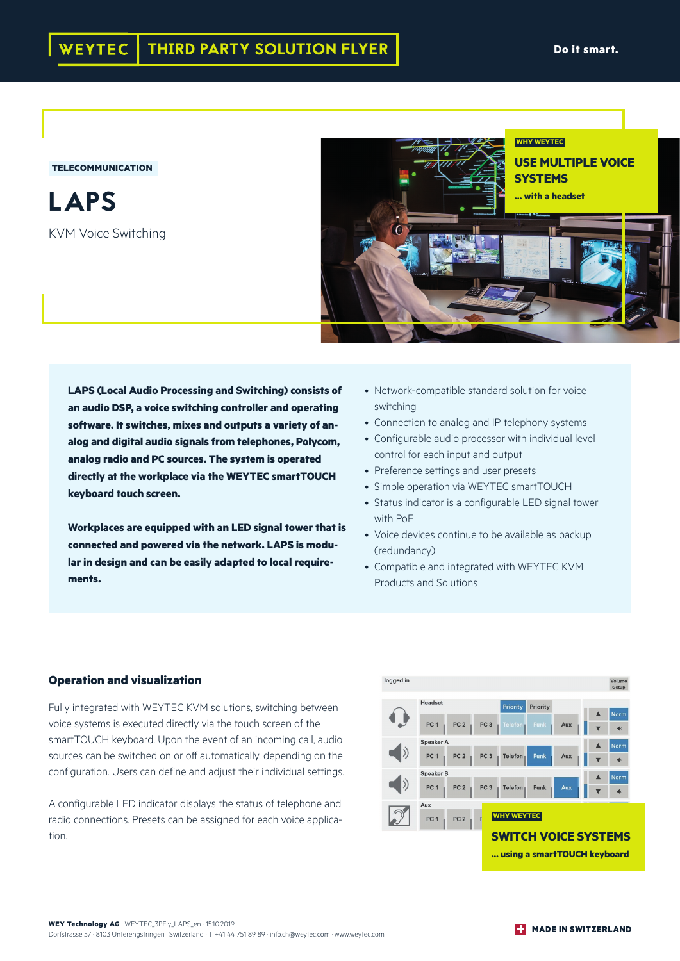## **TELECOMMUNICATION**

LAPS KVM Voice Switching



**LAPS (Local Audio Processing and Switching) consists of an audio DSP, a voice switching controller and operating software. It switches, mixes and outputs a variety of analog and digital audio signals from telephones, Polycom, analog radio and PC sources. The system is operated directly at the workplace via the WEYTEC smartTOUCH keyboard touch screen.** 

**Workplaces are equipped with an LED signal tower that is connected and powered via the network. LAPS is modular in design and can be easily adapted to local requirements.** 

- Network-compatible standard solution for voice switching
- Connection to analog and IP telephony systems
- Configurable audio processor with individual level control for each input and output
- Preference settings and user presets
- Simple operation via WEYTEC smartTOUCH
- Status indicator is a configurable LED signal tower with PoE
- Voice devices continue to be available as backup (redundancy)
- Compatible and integrated with WEYTEC KVM Products and Solutions

## **Operation and visualization**

Fully integrated with WEYTEC KVM solutions, switching between voice systems is executed directly via the touch screen of the smartTOUCH keyboard. Upon the event of an incoming call, audio sources can be switched on or off automatically, depending on the configuration. Users can define and adjust their individual settings.

A configurable LED indicator displays the status of telephone and radio connections. Presets can be assigned for each voice application.